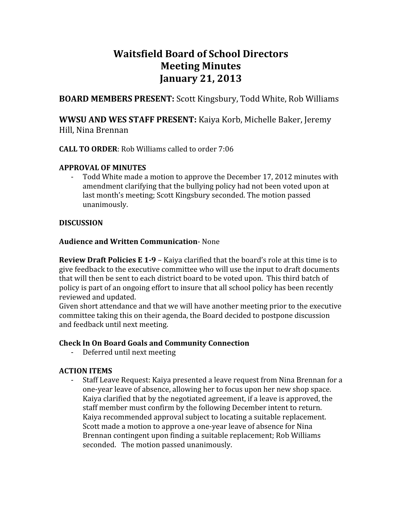# **Waitsfield Board of School Directors Meeting Minutes January 21, 2013**

**BOARD MEMBERS PRESENT:** Scott Kingsbury, Todd White, Rob Williams

**WWSU AND WES STAFF PRESENT:** Kaiya Korb, Michelle Baker, Jeremy Hill, Nina Brennan

#### **CALL TO ORDER**: Rob Williams called to order 7:06

#### **APPROVAL OF MINUTES**

‐ Todd White made a motion to approve the December 17, 2012 minutes with amendment clarifying that the bullying policy had not been voted upon at last month's meeting; Scott Kingsbury seconded. The motion passed unanimously.

## **DISCUSSION**

## **Audience and Written Communication**‐ None

**Review Draft Policies E 1-9 - Kaiya clarified that the board's role at this time is to** give feedback to the executive committee who will use the input to draft documents that will then be sent to each district board to be voted upon. This third batch of policy is part of an ongoing effort to insure that all school policy has been recently reviewed and updated.

Given short attendance and that we will have another meeting prior to the executive committee taking this on their agenda, the Board decided to postpone discussion and feedback until next meeting.

# **Check In On Board Goals and Community Connection**

‐ Deferred until next meeting

# **ACTION ITEMS**

‐ Staff Leave Request: Kaiya presented a leave request from Nina Brennan for a one‐year leave of absence, allowing her to focus upon her new shop space. Kaiya clarified that by the negotiated agreement, if a leave is approved, the staff member must confirm by the following December intent to return. Kaiya recommended approval subject to locating a suitable replacement. Scott made a motion to approve a one‐year leave of absence for Nina Brennan contingent upon finding a suitable replacement; Rob Williams seconded. The motion passed unanimously.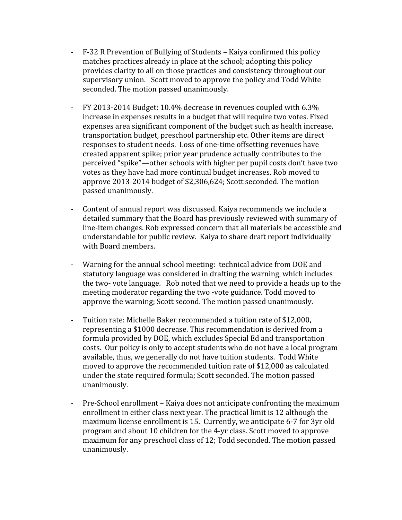- ‐ F‐32 R Prevention of Bullying of Students Kaiya confirmed this policy matches practices already in place at the school; adopting this policy provides clarity to all on those practices and consistency throughout our supervisory union. Scott moved to approve the policy and Todd White seconded. The motion passed unanimously.
- ‐ FY 2013‐2014 Budget: 10.4% decrease in revenues coupled with 6.3% increase in expenses results in a budget that will require two votes. Fixed expenses area significant component of the budget such as health increase, transportation budget, preschool partnership etc. Other items are direct responses to student needs. Loss of one‐time offsetting revenues have created apparent spike; prior year prudence actually contributes to the perceived "spike"—other schools with higher per pupil costs don't have two votes as they have had more continual budget increases. Rob moved to approve 2013‐2014 budget of \$2,306,624; Scott seconded. The motion passed unanimously.
- ‐ Content of annual report was discussed. Kaiya recommends we include a detailed summary that the Board has previously reviewed with summary of line‐item changes. Rob expressed concern that all materials be accessible and understandable for public review. Kaiya to share draft report individually with Board members.
- ‐ Warning for the annual school meeting: technical advice from DOE and statutory language was considered in drafting the warning, which includes the two‐ vote language. Rob noted that we need to provide a heads up to the meeting moderator regarding the two ‐vote guidance. Todd moved to approve the warning; Scott second. The motion passed unanimously.
- ‐ Tuition rate: Michelle Baker recommended a tuition rate of \$12,000, representing a \$1000 decrease. This recommendation is derived from a formula provided by DOE, which excludes Special Ed and transportation costs. Our policy is only to accept students who do not have a local program available, thus, we generally do not have tuition students. Todd White moved to approve the recommended tuition rate of \$12,000 as calculated under the state required formula; Scott seconded. The motion passed unanimously.
- ‐ Pre‐School enrollment Kaiya does not anticipate confronting the maximum enrollment in either class next year. The practical limit is 12 although the maximum license enrollment is 15. Currently, we anticipate 6‐7 for 3yr old program and about 10 children for the 4‐yr class. Scott moved to approve maximum for any preschool class of 12; Todd seconded. The motion passed unanimously.